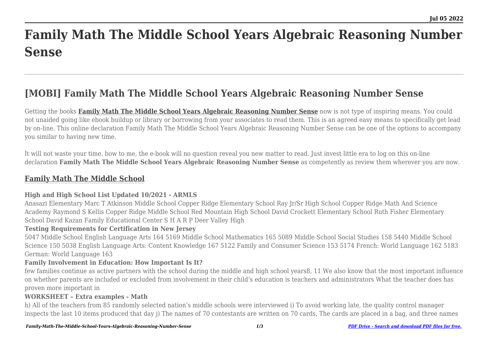# **Family Math The Middle School Years Algebraic Reasoning Number Sense**

## **[MOBI] Family Math The Middle School Years Algebraic Reasoning Number Sense**

Getting the books **[Family Math The Middle School Years Algebraic Reasoning Number Sense](http://jessicaberan.com)** now is not type of inspiring means. You could not unaided going like ebook buildup or library or borrowing from your associates to read them. This is an agreed easy means to specifically get lead by on-line. This online declaration Family Math The Middle School Years Algebraic Reasoning Number Sense can be one of the options to accompany you similar to having new time.

It will not waste your time. bow to me, the e-book will no question reveal you new matter to read. Just invest little era to log on this on-line declaration **Family Math The Middle School Years Algebraic Reasoning Number Sense** as competently as review them wherever you are now.

### **[Family Math The Middle School](http://jessicaberan.com/Family-Math-The-Middle-School-Years-Algebraic-Reasoning-Number-Sense.pdf)**

#### **High and High School List Updated 10/2021 - ARMLS**

Anasazi Elementary Marc T Atkinson Middle School Copper Ridge Elementary School Ray Jr/Sr High School Copper Ridge Math And Science Academy Raymond S Kellis Copper Ridge Middle School Red Mountain High School David Crockett Elementary School Ruth Fisher Elementary School David Kazan Family Educational Center S H A R P Deer Valley High

#### **Testing Requirements for Certification in New Jersey**

5047 Middle School English Language Arts 164 5169 Middle School Mathematics 165 5089 Middle School Social Studies 158 5440 Middle School Science 150 5038 English Language Arts: Content Knowledge 167 5122 Family and Consumer Science 153 5174 French: World Language 162 5183 German: World Language 163

#### **Family Involvement in Education: How Important Is It?**

few families continue as active partners with the school during the middle and high school years8, 11 We also know that the most important influence on whether parents are included or excluded from involvement in their child's education is teachers and administrators What the teacher does has proven more important in

#### **WORKSHEET – Extra examples - Math**

h) All of the teachers from 85 randomly selected nation's middle schools were interviewed i) To avoid working late, the quality control manager inspects the last 10 items produced that day j) The names of 70 contestants are written on 70 cards, The cards are placed in a bag, and three names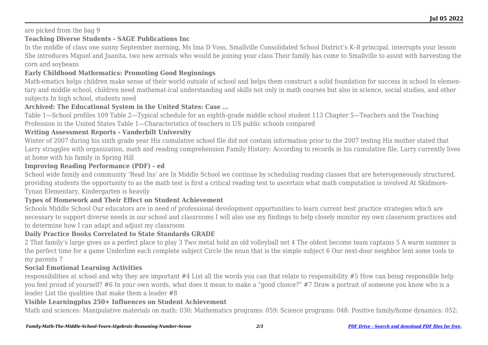#### are picked from the bag 9

#### **Teaching Diverse Students - SAGE Publications Inc**

In the middle of class one sunny September morning, Ms Ima D Voss, Smallville Consolidated School District's K–8 principal, interrupts your lesson She introduces Miguel and Juanita, two new arrivals who would be joining your class Their family has come to Smallville to assist with harvesting the corn and soybeans

#### **Early Childhood Mathematics: Promoting Good Beginnings**

Math-ematics helps children make sense of their world outside of school and helps them construct a solid foundation for success in school In elementary and middle school, children need mathemat-ical understanding and skills not only in math courses but also in science, social studies, and other subjects In high school, students need

#### **Archived: The Educational System in the United States: Case …**

Table 1—School profiles 109 Table 2—Typical schedule for an eighth-grade middle school student 113 Chapter 5—Teachers and the Teaching Profession in the United States Table 1—Characteristics of teachers in US public schools compared

#### **Writing Assessment Reports - Vanderbilt University**

Winter of 2007 during his sixth grade year His cumulative school file did not contain information prior to the 2007 testing His mother stated that Larry struggles with organization, math and reading comprehension Family History: According to records in his cumulative file, Larry currently lives at home with his family in Spring Hill

#### **Improving Reading Performance (PDF) - ed**

School wide family and community 'Read Ins' are In Middle School we continue by scheduling reading classes that are heterogeneously structured, providing students the opportunity to as the math test is first a critical reading test to ascertain what math computation is involved At Skidmore-Tynan Elementary, Kindergarten is heavily

#### **Types of Homework and Their Effect on Student Achievement**

Schools Middle School Our educators are in need of professional development opportunities to learn current best practice strategies which are necessary to support diverse needs in our school and classrooms I will also use my findings to help closely monitor my own classroom practices and to determine how I can adapt and adjust my classroom

#### **Daily Practice Books Correlated to State Standards GRADE**

2 That family's large gives us a perfect place to play 3 Two metal hold an old volleyball net 4 The oldest become team captains 5 A warm summer is the perfect time for a game Underline each complete subject Circle the noun that is the simple subject 6 Our next-door neighbor lent some tools to my parents 7

#### **Social Emotional Learning Activities**

responsibilities at school and why they are important #4 List all the words you can that relate to responsibility #5 How can being responsible help you feel proud of yourself? #6 In your own words, what does it mean to make a "good choice?" #7 Draw a portrait of someone you know who is a leader List the qualities that make them a leader #8

#### **Visible Learningplus 250+ Influences on Student Achievement**

Math and sciences: Manipulative materials on math: 030: Mathematics programs: 059: Science programs: 048: Positive family/home dynamics: 052: